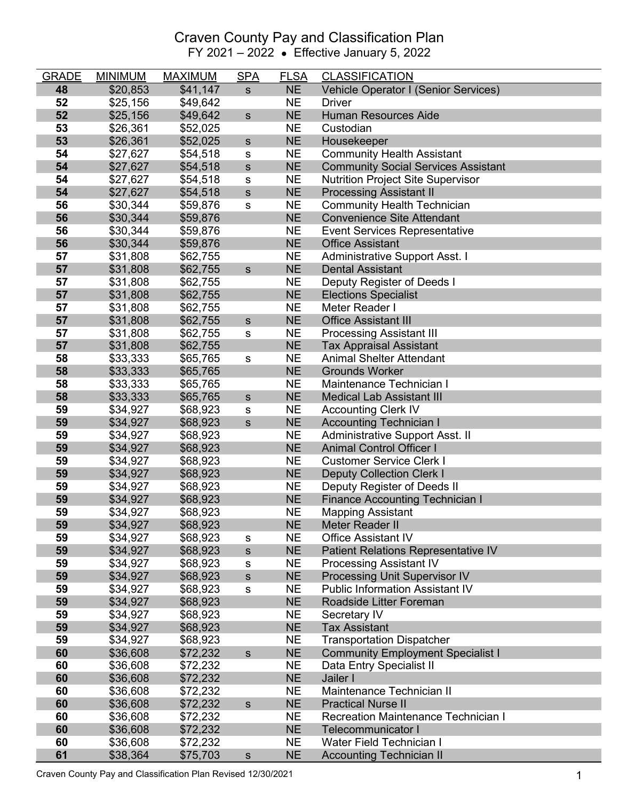| <b>GRADE</b> | <b>MINIMUM</b>       | <b>MAXIMUM</b>       | <b>SPA</b>     | <b>FLSA</b>            | <b>CLASSIFICATION</b>                         |
|--------------|----------------------|----------------------|----------------|------------------------|-----------------------------------------------|
| 48           | \$20,853             | \$41,147             | $\mathbf S$    | <b>NE</b>              | Vehicle Operator I (Senior Services)          |
| 52           | \$25,156             | \$49,642             |                | <b>NE</b>              | <b>Driver</b>                                 |
| 52           | \$25,156             | \$49,642             | ${\sf s}$      | <b>NE</b>              | <b>Human Resources Aide</b>                   |
| 53           | \$26,361             | \$52,025             |                | <b>NE</b>              | Custodian                                     |
| 53           | \$26,361             | \$52,025             | $\mathsf{s}$   | <b>NE</b>              | Housekeeper                                   |
| 54           | \$27,627             | \$54,518             | s              | <b>NE</b>              | <b>Community Health Assistant</b>             |
| 54           | \$27,627             | \$54,518             | ${\sf s}$      | <b>NE</b>              | <b>Community Social Services Assistant</b>    |
| 54           | \$27,627             | \$54,518             | s              | <b>NE</b>              | <b>Nutrition Project Site Supervisor</b>      |
| 54           | \$27,627             | \$54,518             | ${\sf s}$      | <b>NE</b>              | <b>Processing Assistant II</b>                |
| 56           | \$30,344             | \$59,876             | s              | <b>NE</b>              | <b>Community Health Technician</b>            |
| 56           | \$30,344             | \$59,876             |                | <b>NE</b>              | <b>Convenience Site Attendant</b>             |
| 56           | \$30,344             | \$59,876             |                | <b>NE</b>              | <b>Event Services Representative</b>          |
| 56           | \$30,344             | \$59,876             |                | <b>NE</b>              | <b>Office Assistant</b>                       |
| 57           | \$31,808             | \$62,755             |                | <b>NE</b>              | <b>Administrative Support Asst. I</b>         |
| 57           | \$31,808             | \$62,755             | $\mathsf{s}$   | <b>NE</b>              | <b>Dental Assistant</b>                       |
| 57           | \$31,808             | \$62,755             |                | <b>NE</b>              | Deputy Register of Deeds I                    |
| 57           | \$31,808             | \$62,755             |                | <b>NE</b>              | <b>Elections Specialist</b>                   |
| 57           | \$31,808             | \$62,755             |                | <b>NE</b>              | Meter Reader I                                |
| 57           | \$31,808             | \$62,755             | $\mathsf{s}$   | <b>NE</b>              | <b>Office Assistant III</b>                   |
| 57           | \$31,808             | \$62,755             | s              | <b>NE</b>              | <b>Processing Assistant III</b>               |
| 57           | \$31,808             | \$62,755             |                | <b>NE</b>              | <b>Tax Appraisal Assistant</b>                |
| 58           | \$33,333             | \$65,765             | s              | <b>NE</b>              | <b>Animal Shelter Attendant</b>               |
| 58           | \$33,333             | \$65,765             |                | <b>NE</b>              | <b>Grounds Worker</b>                         |
| 58           | \$33,333             | \$65,765             |                | <b>NE</b>              | Maintenance Technician I                      |
| 58           | \$33,333             | \$65,765             | $\mathsf{s}$   | <b>NE</b>              | <b>Medical Lab Assistant III</b>              |
| 59           | \$34,927             | \$68,923             | s              | <b>NE</b>              | <b>Accounting Clerk IV</b>                    |
| 59           | \$34,927             | \$68,923             | $\mathsf{s}$   | <b>NE</b>              | <b>Accounting Technician I</b>                |
| 59           | \$34,927             | \$68,923             |                | <b>NE</b>              | Administrative Support Asst. II               |
| 59           | \$34,927             | \$68,923             |                | <b>NE</b>              | <b>Animal Control Officer I</b>               |
| 59           | \$34,927             | \$68,923             |                | <b>NE</b>              | <b>Customer Service Clerk I</b>               |
| 59           | \$34,927             | \$68,923             |                | <b>NE</b>              | <b>Deputy Collection Clerk I</b>              |
| 59           | \$34,927             | \$68,923             |                | <b>NE</b><br><b>NE</b> | Deputy Register of Deeds II                   |
| 59           | \$34,927             | \$68,923             |                |                        | <b>Finance Accounting Technician I</b>        |
| 59           | \$34,927             | \$68,923             |                | <b>NE</b>              | <b>Mapping Assistant</b>                      |
| 59<br>59     | \$34,927             | \$68,923             |                | <b>NE</b><br><b>NE</b> | Meter Reader II<br><b>Office Assistant IV</b> |
| 59           | \$34,927<br>\$34,927 | \$68,923<br>\$68,923 | s              | <b>NE</b>              | Patient Relations Representative IV           |
| 59           | \$34,927             | \$68,923             | ${\sf s}$      | <b>NE</b>              | <b>Processing Assistant IV</b>                |
| 59           | \$34,927             | \$68,923             | s<br>${\sf s}$ | <b>NE</b>              | Processing Unit Supervisor IV                 |
| 59           | \$34,927             | \$68,923             | s              | <b>NE</b>              | <b>Public Information Assistant IV</b>        |
| 59           | \$34,927             | \$68,923             |                | <b>NE</b>              | Roadside Litter Foreman                       |
| 59           | \$34,927             | \$68,923             |                | <b>NE</b>              | Secretary IV                                  |
| 59           | \$34,927             | \$68,923             |                | <b>NE</b>              | <b>Tax Assistant</b>                          |
| 59           | \$34,927             | \$68,923             |                | <b>NE</b>              | <b>Transportation Dispatcher</b>              |
| 60           | \$36,608             | \$72,232             | ${\sf s}$      | <b>NE</b>              | <b>Community Employment Specialist I</b>      |
| 60           | \$36,608             | \$72,232             |                | <b>NE</b>              | Data Entry Specialist II                      |
| 60           | \$36,608             | \$72,232             |                | <b>NE</b>              | Jailer I                                      |
| 60           | \$36,608             | \$72,232             |                | <b>NE</b>              | Maintenance Technician II                     |
| 60           | \$36,608             | \$72,232             | ${\sf s}$      | <b>NE</b>              | <b>Practical Nurse II</b>                     |
| 60           | \$36,608             | \$72,232             |                | <b>NE</b>              | <b>Recreation Maintenance Technician I</b>    |
| 60           | \$36,608             | \$72,232             |                | <b>NE</b>              | <b>Telecommunicator I</b>                     |
| 60           | \$36,608             | \$72,232             |                | <b>NE</b>              | Water Field Technician I                      |
| 61           | \$38,364             | \$75,703             | $\mathbf S$    | <b>NE</b>              | <b>Accounting Technician II</b>               |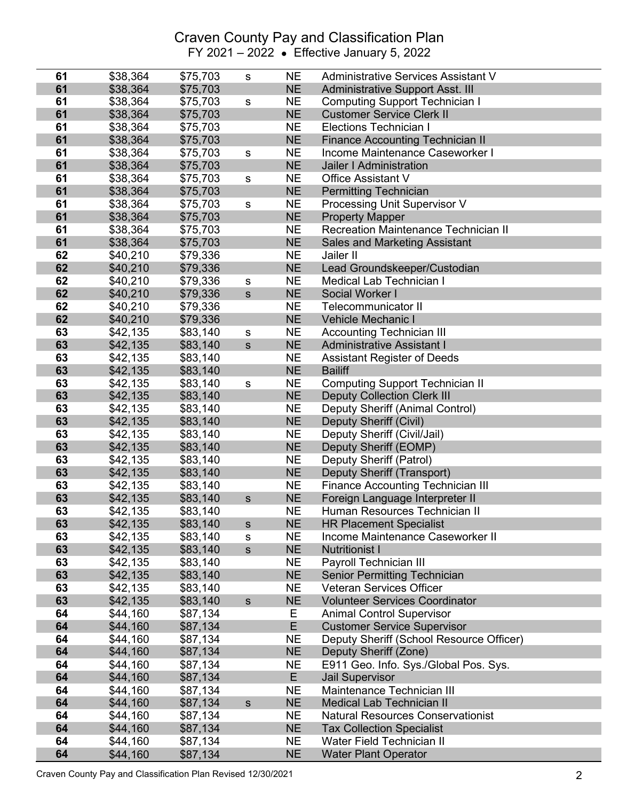| 61 | \$38,364 | \$75,703 | ${\tt S}$     | <b>NE</b> | <b>Administrative Services Assistant V</b> |
|----|----------|----------|---------------|-----------|--------------------------------------------|
| 61 | \$38,364 | \$75,703 |               | <b>NE</b> | <b>Administrative Support Asst. III</b>    |
| 61 | \$38,364 | \$75,703 | ${\mathsf s}$ | <b>NE</b> | <b>Computing Support Technician I</b>      |
| 61 | \$38,364 | \$75,703 |               | <b>NE</b> | <b>Customer Service Clerk II</b>           |
| 61 | \$38,364 | \$75,703 |               | <b>NE</b> | <b>Elections Technician I</b>              |
| 61 | \$38,364 | \$75,703 |               | <b>NE</b> | <b>Finance Accounting Technician II</b>    |
| 61 | \$38,364 | \$75,703 | ${\tt S}$     | <b>NE</b> | Income Maintenance Caseworker I            |
| 61 | \$38,364 | \$75,703 |               | <b>NE</b> | Jailer I Administration                    |
| 61 | \$38,364 | \$75,703 | ${\mathsf s}$ | <b>NE</b> | <b>Office Assistant V</b>                  |
| 61 | \$38,364 | \$75,703 |               | <b>NE</b> | <b>Permitting Technician</b>               |
| 61 | \$38,364 | \$75,703 | ${\tt S}$     | <b>NE</b> | Processing Unit Supervisor V               |
| 61 | \$38,364 | \$75,703 |               | <b>NE</b> | <b>Property Mapper</b>                     |
| 61 | \$38,364 | \$75,703 |               | <b>NE</b> | Recreation Maintenance Technician II       |
| 61 | \$38,364 | \$75,703 |               | <b>NE</b> | Sales and Marketing Assistant              |
| 62 | \$40,210 | \$79,336 |               | <b>NE</b> | Jailer II                                  |
| 62 | \$40,210 | \$79,336 |               | <b>NE</b> | Lead Groundskeeper/Custodian               |
| 62 | \$40,210 | \$79,336 | ${\tt S}$     | <b>NE</b> | <b>Medical Lab Technician I</b>            |
| 62 | \$40,210 | \$79,336 | $\mathsf{s}$  | <b>NE</b> | Social Worker I                            |
| 62 | \$40,210 | \$79,336 |               | <b>NE</b> | Telecommunicator II                        |
| 62 | \$40,210 | \$79,336 |               | <b>NE</b> | Vehicle Mechanic I                         |
| 63 | \$42,135 | \$83,140 | ${\mathsf s}$ | <b>NE</b> | <b>Accounting Technician III</b>           |
| 63 | \$42,135 | \$83,140 | $\mathsf{s}$  | <b>NE</b> | <b>Administrative Assistant I</b>          |
| 63 | \$42,135 | \$83,140 |               | <b>NE</b> | <b>Assistant Register of Deeds</b>         |
| 63 | \$42,135 | \$83,140 |               | <b>NE</b> | <b>Bailiff</b>                             |
| 63 | \$42,135 | \$83,140 | ${\mathsf s}$ | <b>NE</b> | <b>Computing Support Technician II</b>     |
| 63 | \$42,135 | \$83,140 |               | <b>NE</b> | <b>Deputy Collection Clerk III</b>         |
| 63 | \$42,135 | \$83,140 |               | <b>NE</b> | Deputy Sheriff (Animal Control)            |
| 63 | \$42,135 | \$83,140 |               | <b>NE</b> | <b>Deputy Sheriff (Civil)</b>              |
| 63 | \$42,135 | \$83,140 |               | <b>NE</b> | Deputy Sheriff (Civil/Jail)                |
| 63 | \$42,135 | \$83,140 |               | <b>NE</b> | Deputy Sheriff (EOMP)                      |
| 63 | \$42,135 | \$83,140 |               | <b>NE</b> | Deputy Sheriff (Patrol)                    |
| 63 | \$42,135 | \$83,140 |               | <b>NE</b> | Deputy Sheriff (Transport)                 |
| 63 | \$42,135 | \$83,140 |               | <b>NE</b> | <b>Finance Accounting Technician III</b>   |
| 63 | \$42,135 | \$83,140 | $\mathbf S$   | <b>NE</b> | Foreign Language Interpreter II            |
| 63 | \$42,135 | \$83,140 |               | <b>NE</b> | Human Resources Technician II              |
| 63 | \$42,135 | \$83,140 | $\mathbb S$   | <b>NE</b> | <b>HR Placement Specialist</b>             |
| 63 | \$42,135 | \$83,140 | ${\tt S}$     | <b>NE</b> | Income Maintenance Caseworker II           |
| 63 | \$42,135 | \$83,140 | $\mathsf{s}$  | <b>NE</b> | <b>Nutritionist I</b>                      |
| 63 | \$42,135 | \$83,140 |               | <b>NE</b> | Payroll Technician III                     |
| 63 | \$42,135 | \$83,140 |               | <b>NE</b> | <b>Senior Permitting Technician</b>        |
| 63 | \$42,135 | \$83,140 |               | <b>NE</b> | <b>Veteran Services Officer</b>            |
| 63 | \$42,135 | \$83,140 | ${\sf s}$     | <b>NE</b> | <b>Volunteer Services Coordinator</b>      |
| 64 | \$44,160 | \$87,134 |               | Е         | <b>Animal Control Supervisor</b>           |
| 64 | \$44,160 | \$87,134 |               | E         | <b>Customer Service Supervisor</b>         |
| 64 | \$44,160 | \$87,134 |               | <b>NE</b> | Deputy Sheriff (School Resource Officer)   |
| 64 | \$44,160 | \$87,134 |               | <b>NE</b> | Deputy Sheriff (Zone)                      |
| 64 | \$44,160 | \$87,134 |               | <b>NE</b> | E911 Geo. Info. Sys./Global Pos. Sys.      |
| 64 | \$44,160 | \$87,134 |               | E         | <b>Jail Supervisor</b>                     |
| 64 | \$44,160 | \$87,134 |               | <b>NE</b> | Maintenance Technician III                 |
| 64 | \$44,160 | \$87,134 | $\mathsf{s}$  | <b>NE</b> | <b>Medical Lab Technician II</b>           |
| 64 | \$44,160 | \$87,134 |               | <b>NE</b> | <b>Natural Resources Conservationist</b>   |
| 64 | \$44,160 | \$87,134 |               | <b>NE</b> | <b>Tax Collection Specialist</b>           |
| 64 | \$44,160 | \$87,134 |               | <b>NE</b> | <b>Water Field Technician II</b>           |
| 64 | \$44,160 | \$87,134 |               | <b>NE</b> | <b>Water Plant Operator</b>                |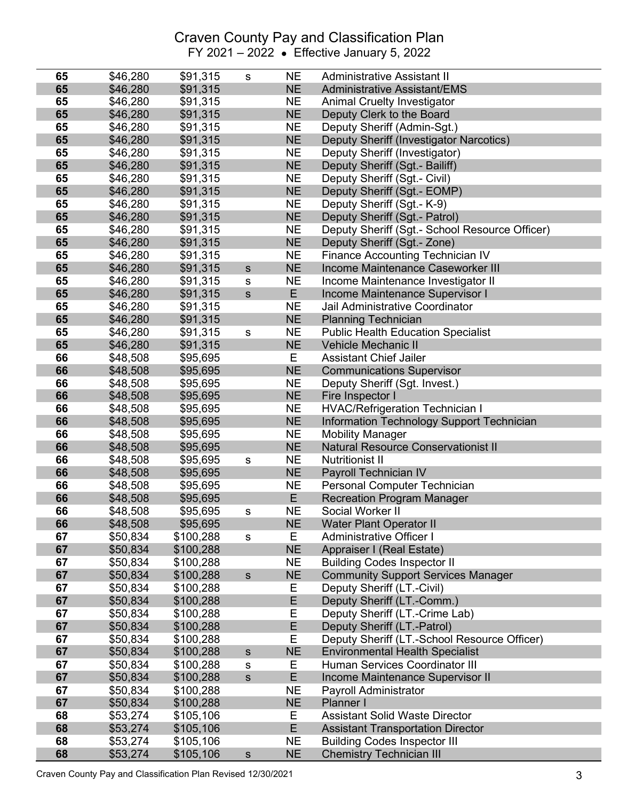| 65       | \$46,280             | \$91,315               | s             | <b>NE</b>              | <b>Administrative Assistant II</b>                              |
|----------|----------------------|------------------------|---------------|------------------------|-----------------------------------------------------------------|
| 65       | \$46,280             | \$91,315               |               | <b>NE</b>              | <b>Administrative Assistant/EMS</b>                             |
| 65       | \$46,280             | \$91,315               |               | <b>NE</b>              | <b>Animal Cruelty Investigator</b>                              |
| 65       | \$46,280             | \$91,315               |               | <b>NE</b>              | Deputy Clerk to the Board                                       |
| 65       | \$46,280             | \$91,315               |               | <b>NE</b>              | Deputy Sheriff (Admin-Sgt.)                                     |
| 65       | \$46,280             | \$91,315               |               | <b>NE</b>              | Deputy Sheriff (Investigator Narcotics)                         |
| 65       | \$46,280             | \$91,315               |               | <b>NE</b>              | Deputy Sheriff (Investigator)                                   |
| 65       | \$46,280             | \$91,315               |               | <b>NE</b>              | Deputy Sheriff (Sgt.- Bailiff)                                  |
| 65       | \$46,280             | \$91,315               |               | <b>NE</b>              | Deputy Sheriff (Sgt.- Civil)                                    |
| 65       | \$46,280             | \$91,315               |               | <b>NE</b>              | Deputy Sheriff (Sgt.- EOMP)                                     |
| 65       | \$46,280             | \$91,315               |               | <b>NE</b>              | Deputy Sheriff (Sgt.- K-9)                                      |
| 65       | \$46,280             | \$91,315               |               | <b>NE</b>              | Deputy Sheriff (Sgt.- Patrol)                                   |
| 65       | \$46,280             | \$91,315               |               | <b>NE</b>              | Deputy Sheriff (Sgt.- School Resource Officer)                  |
| 65       | \$46,280             | \$91,315               |               | <b>NE</b>              | Deputy Sheriff (Sgt.- Zone)                                     |
| 65       | \$46,280             | \$91,315               |               | <b>NE</b>              | <b>Finance Accounting Technician IV</b>                         |
| 65       | \$46,280             | \$91,315               | $\mathbf S$   | <b>NE</b>              | Income Maintenance Caseworker III                               |
| 65       | \$46,280             | \$91,315               | s             | <b>NE</b>              | Income Maintenance Investigator II                              |
| 65       | \$46,280             | \$91,315               | S             | E.                     | Income Maintenance Supervisor I                                 |
| 65       | \$46,280             | \$91,315               |               | <b>NE</b>              | Jail Administrative Coordinator                                 |
| 65       | \$46,280             | \$91,315               |               | <b>NE</b>              | <b>Planning Technician</b>                                      |
| 65       | \$46,280             | \$91,315               | S             | <b>NE</b>              | <b>Public Health Education Specialist</b>                       |
| 65       | \$46,280             | \$91,315               |               | <b>NE</b>              | <b>Vehicle Mechanic II</b>                                      |
| 66       | \$48,508             | \$95,695               |               | Е                      | <b>Assistant Chief Jailer</b>                                   |
| 66       | \$48,508             | \$95,695               |               | <b>NE</b>              | <b>Communications Supervisor</b>                                |
| 66       | \$48,508             | \$95,695               |               | <b>NE</b>              | Deputy Sheriff (Sgt. Invest.)                                   |
| 66       | \$48,508             | \$95,695               |               | <b>NE</b>              | Fire Inspector I                                                |
| 66       | \$48,508             | \$95,695               |               | <b>NE</b>              | <b>HVAC/Refrigeration Technician I</b>                          |
| 66       | \$48,508             | \$95,695               |               | <b>NE</b>              | Information Technology Support Technician                       |
| 66       | \$48,508             | \$95,695               |               | <b>NE</b>              | <b>Mobility Manager</b>                                         |
| 66       | \$48,508             | \$95,695               |               | <b>NE</b>              | <b>Natural Resource Conservationist II</b>                      |
| 66       | \$48,508             | \$95,695               | ${\sf s}$     | <b>NE</b>              | <b>Nutritionist II</b>                                          |
| 66       | \$48,508             | \$95,695               |               | <b>NE</b>              | Payroll Technician IV                                           |
| 66       | \$48,508             | \$95,695               |               | <b>NE</b>              | Personal Computer Technician                                    |
| 66       | \$48,508             | \$95,695               |               | E                      | <b>Recreation Program Manager</b>                               |
| 66       | \$48,508             | \$95,695               | s             | <b>NE</b>              | Social Worker II                                                |
| 66       | \$48,508             | \$95,695               |               | <b>NE</b>              | <b>Water Plant Operator II</b>                                  |
| 67       | \$50,834             | \$100,288              | s             | Е                      | Administrative Officer I                                        |
| 67<br>67 | \$50,834             | \$100,288              |               | <b>NE</b>              | Appraiser I (Real Estate)<br><b>Building Codes Inspector II</b> |
| 67       | \$50,834<br>\$50,834 | \$100,288<br>\$100,288 | $\mathsf{s}$  | <b>NE</b><br><b>NE</b> | <b>Community Support Services Manager</b>                       |
| 67       | \$50,834             | \$100,288              |               | Е                      | Deputy Sheriff (LT.-Civil)                                      |
| 67       | \$50,834             | \$100,288              |               | E                      | Deputy Sheriff (LT.-Comm.)                                      |
| 67       | \$50,834             | \$100,288              |               | E                      | Deputy Sheriff (LT.-Crime Lab)                                  |
| 67       | \$50,834             | \$100,288              |               | E                      | Deputy Sheriff (LT.-Patrol)                                     |
| 67       | \$50,834             | \$100,288              |               | E                      | Deputy Sheriff (LT.-School Resource Officer)                    |
| 67       | \$50,834             | \$100,288              | ${\sf s}$     | <b>NE</b>              | <b>Environmental Health Specialist</b>                          |
| 67       | \$50,834             | \$100,288              | s             | Е                      | Human Services Coordinator III                                  |
| 67       | \$50,834             | \$100,288              | S             | E                      | Income Maintenance Supervisor II                                |
| 67       | \$50,834             | \$100,288              |               | <b>NE</b>              | Payroll Administrator                                           |
| 67       | \$50,834             | \$100,288              |               | <b>NE</b>              | Planner I                                                       |
| 68       | \$53,274             | \$105,106              |               | Ε                      | <b>Assistant Solid Waste Director</b>                           |
| 68       | \$53,274             | \$105,106              |               | E                      | <b>Assistant Transportation Director</b>                        |
| 68       | \$53,274             | \$105,106              |               | <b>NE</b>              | <b>Building Codes Inspector III</b>                             |
| 68       | \$53,274             | \$105,106              | ${\mathsf s}$ | <b>NE</b>              | <b>Chemistry Technician III</b>                                 |

Craven County Pay and Classification Plan Revised 12/30/2021 3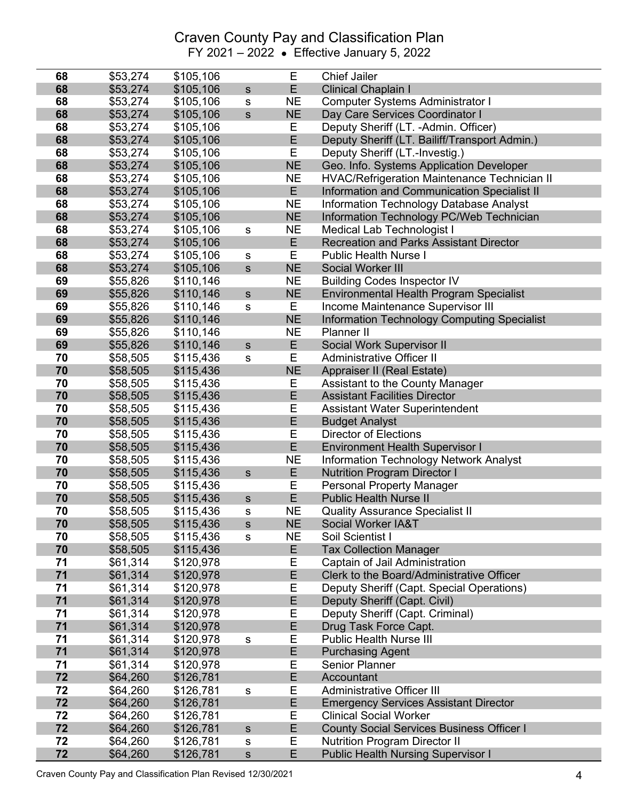| 68       | \$53,274             | \$105,106              |               | Е         | <b>Chief Jailer</b>                                     |
|----------|----------------------|------------------------|---------------|-----------|---------------------------------------------------------|
| 68       | \$53,274             | \$105,106              | ${\mathsf s}$ | E.        | <b>Clinical Chaplain I</b>                              |
| 68       | \$53,274             | \$105,106              | S             | <b>NE</b> | Computer Systems Administrator I                        |
| 68       | \$53,274             | \$105,106              | ${\sf S}$     | <b>NE</b> | Day Care Services Coordinator I                         |
| 68       | \$53,274             | \$105,106              |               | Е         | Deputy Sheriff (LT. -Admin. Officer)                    |
| 68       | \$53,274             | \$105,106              |               | E         | Deputy Sheriff (LT. Bailiff/Transport Admin.)           |
| 68       | \$53,274             | \$105,106              |               | E         | Deputy Sheriff (LT.-Investig.)                          |
| 68       | \$53,274             | \$105,106              |               | <b>NE</b> | Geo. Info. Systems Application Developer                |
| 68       | \$53,274             | \$105,106              |               | <b>NE</b> | <b>HVAC/Refrigeration Maintenance Technician II</b>     |
| 68       | \$53,274             | \$105,106              |               | E.        | <b>Information and Communication Specialist II</b>      |
| 68       | \$53,274             | \$105,106              |               | <b>NE</b> | <b>Information Technology Database Analyst</b>          |
| 68       | \$53,274             | \$105,106              |               | <b>NE</b> | Information Technology PC/Web Technician                |
| 68       | \$53,274             | \$105,106              | ${\sf s}$     | <b>NE</b> | Medical Lab Technologist I                              |
| 68       | \$53,274             | \$105,106              |               | E         | <b>Recreation and Parks Assistant Director</b>          |
| 68       | \$53,274             | \$105,106              | ${\mathsf s}$ | Е         | <b>Public Health Nurse I</b>                            |
| 68       | \$53,274             | \$105,106              | $\mathsf{s}$  | <b>NE</b> | Social Worker III                                       |
| 69       | \$55,826             | \$110,146              |               | <b>NE</b> | <b>Building Codes Inspector IV</b>                      |
| 69       | \$55,826             | \$110,146              | ${\mathsf s}$ | <b>NE</b> | <b>Environmental Health Program Specialist</b>          |
| 69       | \$55,826             | \$110,146              | ${\sf s}$     | Е         | Income Maintenance Supervisor III                       |
| 69       | \$55,826             | \$110,146              |               | <b>NE</b> | <b>Information Technology Computing Specialist</b>      |
| 69       | \$55,826             | \$110,146              |               | <b>NE</b> | Planner II                                              |
| 69       | \$55,826             | \$110,146              | $\mathsf{s}$  | E         | Social Work Supervisor II                               |
| 70       | \$58,505             | \$115,436              | S             | E         | <b>Administrative Officer II</b>                        |
| 70       | \$58,505             | \$115,436              |               | <b>NE</b> | Appraiser II (Real Estate)                              |
| 70       | \$58,505             | \$115,436              |               | Ε         | Assistant to the County Manager                         |
| 70       | \$58,505             | \$115,436              |               | E         | <b>Assistant Facilities Director</b>                    |
| 70       | \$58,505             | \$115,436              |               | Ε         | <b>Assistant Water Superintendent</b>                   |
| 70       | \$58,505             | \$115,436              |               | E         | <b>Budget Analyst</b>                                   |
| 70       | \$58,505             | \$115,436              |               | Ε         | <b>Director of Elections</b>                            |
| 70       | \$58,505             | \$115,436              |               | E         | <b>Environment Health Supervisor I</b>                  |
| 70       | \$58,505             | \$115,436              |               | <b>NE</b> | <b>Information Technology Network Analyst</b>           |
| 70       | \$58,505             | \$115,436              | $\mathsf{s}$  | E         | <b>Nutrition Program Director I</b>                     |
| 70       | \$58,505             | \$115,436              |               | Е         | <b>Personal Property Manager</b>                        |
| 70       | \$58,505             | \$115,436              | $\mathsf{s}$  | E         | <b>Public Health Nurse II</b>                           |
| 70       | \$58,505             | \$115,436              | ${\tt S}$     | <b>NE</b> | <b>Quality Assurance Specialist II</b>                  |
| 70       | \$58,505             | \$115,436              | S             | <b>NE</b> | <b>Social Worker IA&amp;T</b>                           |
| 70       | \$58,505             | \$115,436              | s             | NE        | Soil Scientist I                                        |
| 70       | \$58,505             | \$115,436              |               | Е         | <b>Tax Collection Manager</b>                           |
| 71       | \$61,314             | \$120,978              |               | Ε         | Captain of Jail Administration                          |
| 71       | \$61,314             | \$120,978              |               | E         | Clerk to the Board/Administrative Officer               |
| 71       | \$61,314             | \$120,978              |               | Ε         | Deputy Sheriff (Capt. Special Operations)               |
| 71       | \$61,314             | \$120,978              |               | E         | Deputy Sheriff (Capt. Civil)                            |
| 71       | \$61,314             | \$120,978<br>\$120,978 |               | Ε         | Deputy Sheriff (Capt. Criminal)                         |
| 71<br>71 | \$61,314             |                        |               | E<br>Е    | Drug Task Force Capt.<br><b>Public Health Nurse III</b> |
| 71       | \$61,314<br>\$61,314 | \$120,978<br>\$120,978 | S             | E         | <b>Purchasing Agent</b>                                 |
| 71       | \$61,314             | \$120,978              |               | Ε         | <b>Senior Planner</b>                                   |
| 72       | \$64,260             | \$126,781              |               | E         | Accountant                                              |
| 72       | \$64,260             | \$126,781              | ${\sf s}$     | Ε         | <b>Administrative Officer III</b>                       |
| 72       | \$64,260             | \$126,781              |               | E         | <b>Emergency Services Assistant Director</b>            |
| 72       | \$64,260             | \$126,781              |               | Ε         | <b>Clinical Social Worker</b>                           |
| 72       | \$64,260             | \$126,781              | $\mathsf{s}$  | E         | <b>County Social Services Business Officer I</b>        |
| 72       | \$64,260             | \$126,781              | ${\tt S}$     | Е         | <b>Nutrition Program Director II</b>                    |
| 72       | \$64,260             | \$126,781              | ${\mathsf s}$ | E         | <b>Public Health Nursing Supervisor I</b>               |

Craven County Pay and Classification Plan Revised 12/30/2021 4